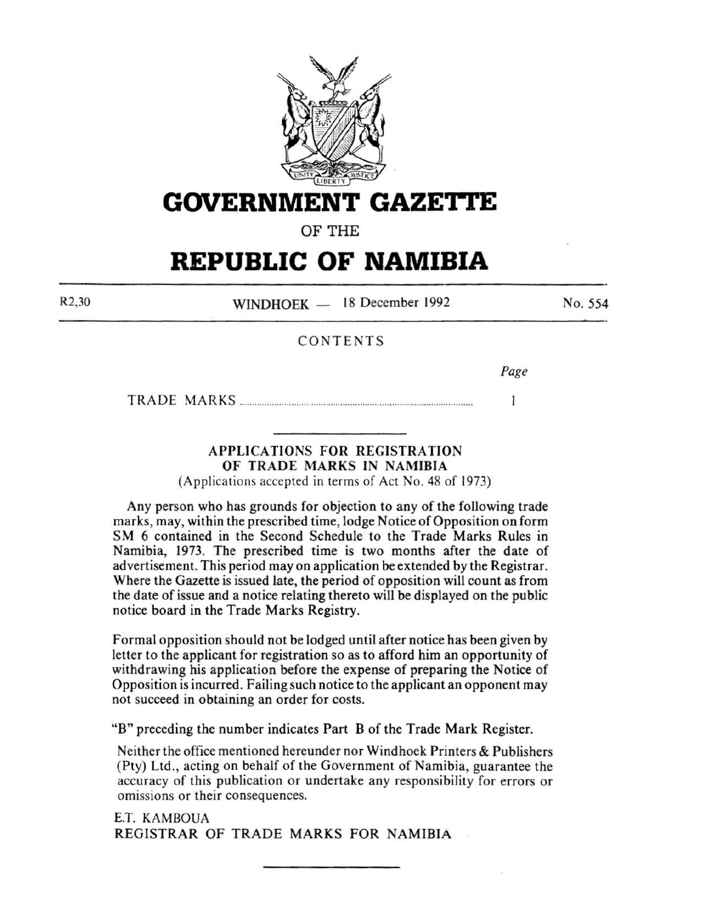

**GOVERNMENT GAZETtE** 

OF THE

# **REPUBLIC OF NAMIBIA**

R2,30

WINDHOEK - 18 December 1992

No. 554

# CONTENTS

*Page* 

 $\mathbf{I}$ 

TRADE MARKS ............. ............................................................................. .

# APPLICATIONS FOR REGISTRATION OF TRADE MARKS IN NAMIBIA

(Applications accepted in terms of Act No. 48 of 1973)

Any person who has grounds for objection to any of the following trade marks, may, within the prescribed time, lodge Notice of Opposition on form SM 6 contained in the Second Schedule to the Trade Marks Rules in Namibia, 1973. The prescribed time is two months after the date of advertisement. This period may on application be extended by the Registrar. Where the Gazette is issued late, the period of opposition will count as from the date of issue and a notice relating thereto will be displayed on the public notice board in the Trade Marks Registry.

Formal opposition should not be lodged until after notice has been given by letter to the applicant for registration so as to afford him an opportunity of withdrawing his application before the expense of preparing the Notice of Opposition is incurred. Failing such notice to the applicant an opponent may not succeed in obtaining an order for costs.

"B" preceding the number indicates Part B of the Trade Mark Register.

Neither the office mentioned hereunder nor Windhoek Printers & Publishers (Pty) Ltd., acting on behalf of the Government of Namibia, guarantee the accuracy of this publication or undertake any responsibility for errors or omissions or their consequences.

E.T. KAMBOUA REGISTRAR OF TRADE MARKS FOR NAMIBIA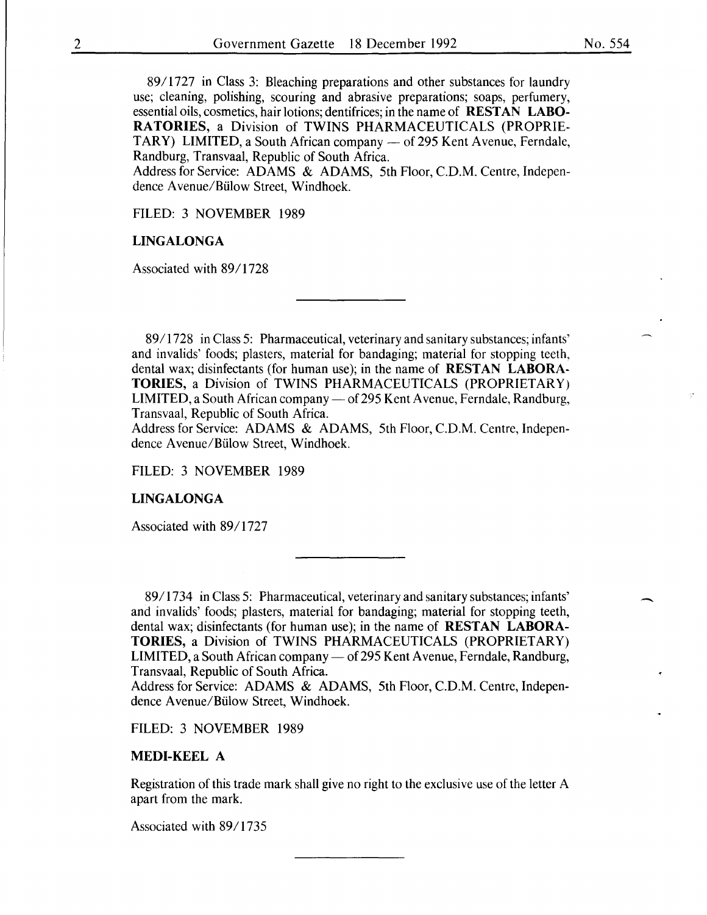89/1727 in Class 3: Bleaching preparations and other substances for laundry use; cleaning, polishing, scouring and abrasive preparations; soaps, perfumery, essential oils, cosmetics, hair lotions; dentifrices; in the name of RESTAN LABO-RATORIES, a Division of TWINS PHARMACEUTICALS (PROPRIE-TARY) LIMITED, a South African company — of 295 Kent Avenue, Ferndale, Randburg, Transvaal, Republic of South Africa.

Address for Service: ADAMS & ADAMS, 5th Floor, C.D.M. Centre, Independence Avenue/Bülow Street, Windhoek.

FILED: 3 NOVEMBER 1989

#### LINGALONGA

Associated with 89/1728

89/1728 in Class 5: Pharmaceutical, veterinary and sanitary substances; infants' and invalids' foods; plasters, material for bandaging; material for stopping teeth, dental wax; disinfectants (for human use); in the name of RESTAN LABORA-TORIES, a Division of TWINS PHARMACEUTICALS (PROPRIETARY) LIMITED, a South African company — of 295 Kent Avenue, Ferndale, Randburg, Transvaal, Republic of South Africa.

Address for Service: ADAMS & ADAMS, 5th Floor, C.D.M. Centre, Independence Avenue/Bülow Street, Windhoek.

FILED: 3 NOVEMBER 1989

#### LINGALONGA

Associated with 89/1727

89/1734 in Class 5: Pharmaceutical, veterinary and sanitary substances; infants' and invalids' foods; plasters, material for bandaging; material for stopping teeth, dental wax; disinfectants (for human use); in the name of RESTAN LABORA-TORIES, a Division of TWINS PHARMACEUTICALS (PROPRIETARY) LIMITED, a South African company — of 295 Kent Avenue, Ferndale, Randburg, Transvaal, Republic of South Africa.

Address for Service: ADAMS & ADAMS, 5th Floor, C.D.M. Centre, Independence Avenue/Bülow Street, Windhoek.

FILED: 3 NOVEMBER 1989

#### MEDI-KEEL A

Registration of this trade mark shall give no right to the exclusive use of the letter A apart from the mark.

Associated with 89/1735

 $\overline{\phantom{a}}$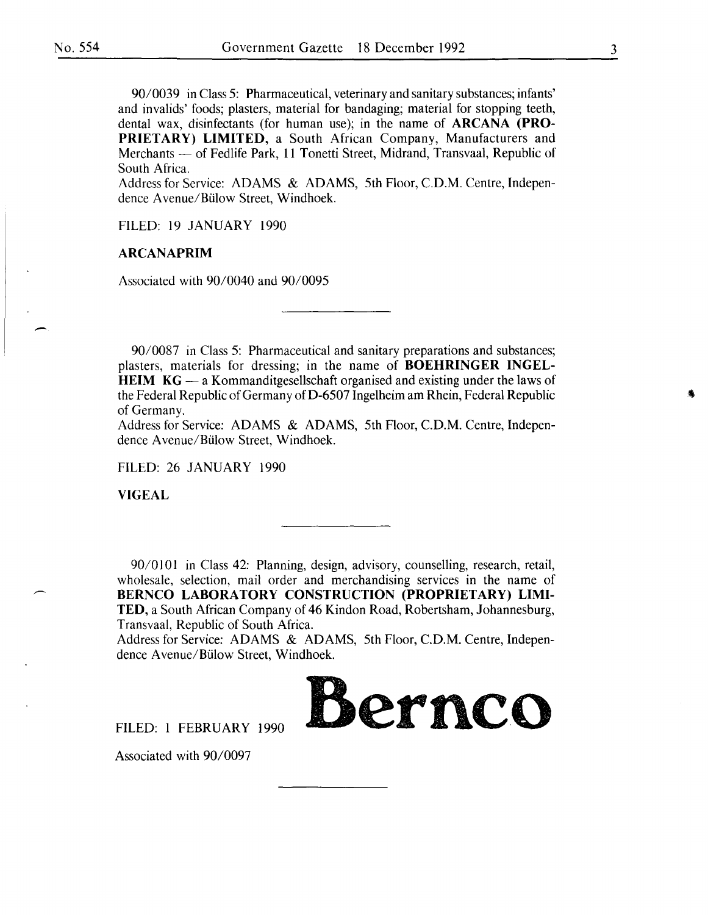90/0039 in Class 5: Pharmaceutical, veterinary and sanitary substances; infants' and invalids' foods; plasters, material for bandaging; material for stopping teeth, dental wax, disinfectants (for human use); in the name of **ARCANA (PRO-PRIETARY) LIMITED,** a South African Company, Manufacturers and Merchants - of Fedlife Park, 11 Tonetti Street, Midrand, Transvaal, Republic of South Africa.

Address for Service: ADAMS & ADAMS, 5th Floor, C.D.M. Centre, Independence Avenue/Bülow Street, Windhoek.

FILED: 19 JANUARY 1990

#### **ARCANAPRIM**

Associated with 90/0040 and 90/0095

90/0087 in Class 5: Pharmaceutical and sanitary preparations and substances; plasters, materials for dressing; in the name of **BOEHRINGER INGEL-HEIM KG** — a Kommanditgesellschaft organised and existing under the laws of the Federal Republic of Germany of D-6507 Ingelheim am Rhein, Federal Republic of Germany.

Address for Service: ADAMS & ADAMS, 5th Floor, C.D.M. Centre, Independence Avenue/Bülow Street, Windhoek.

FILED: 26 JANUARY 1990

**VIGEAL** 

90/0101 in Class 42: Planning, design, advisory, counselling, research, retail, wholesale, selection, mail order and merchandising services in the name of **BERNCO LABORATORY CONSTRUCTION (PROPRIETARY) LIMI-TED,** a South African Company of 46 Kindon Road, Robertsham, Johannesburg, Transvaal, Republic of South Africa.

Address for Service: ADAMS & ADAMS, 5th Floor, C.D.M. Centre, Independence Avenue/Bülow Street, Windhoek.

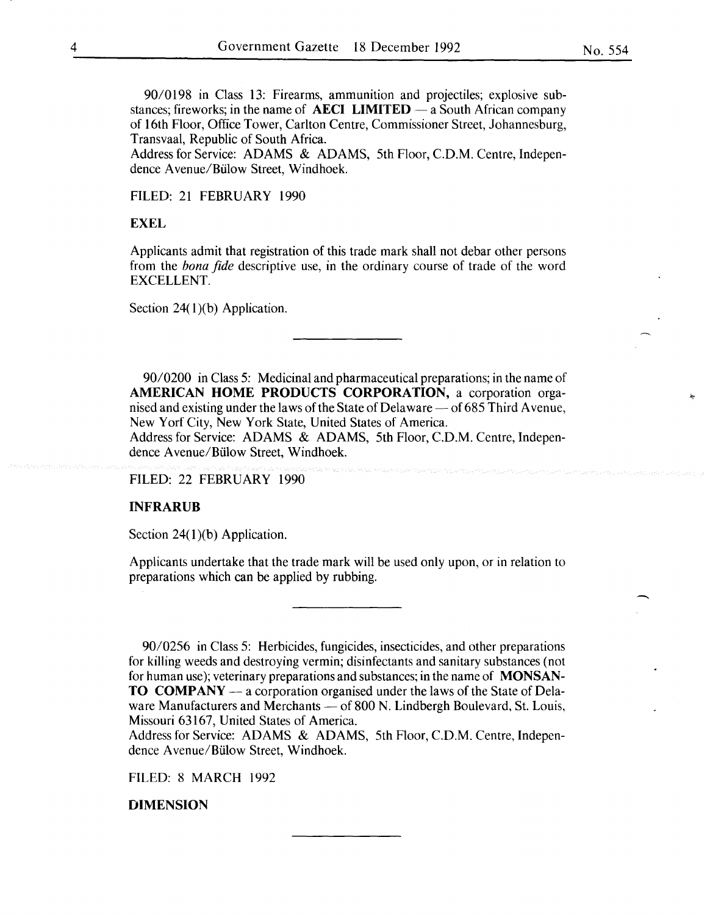90/0198 in Class 13: Firearms, ammunition and projectiles; explosive substances; fireworks; in the name of **AECI LIMITED** — a South African company of 16th Floor, Office Tower, Carlton Centre, Commissioner Street, Johannesburg, Transvaal, Republic of South Africa.

Address for Service: ADAMS & ADAMS, 5th Floor, C.D.M. Centre, Independence A venue/Biilow Street, Windhoek.

FILED: 21 FEBRUARY 1990

#### **EXEL**

Applicants admit that registration of this trade mark shall not debar other persons from the *bona fide* descriptive use, in the ordinary course of trade of the word EXCELLENT.

Section  $24(1)(b)$  Application.

*9010200* in Class 5: Medicinal and pharmaceutical preparations; in the name of **AMERICAN HOME PRODUCTS CORPORATION,** a corporation organised and existing under the laws of the State of Delaware — of 685 Third Avenue, New Yorf City, New York State, United States of America. Address for Service: ADAMS & ADAMS, 5th Floor, C.D.M. Centre, Independence Avenue/Biilow Street, Windhoek.

FILED: 22 FEBRUARY 1990

#### **INFRARUB**

Section 24(1)(b) Application.

Applicants undertake that the trade mark will be used only upon, or in relation to preparations which can be applied by rubbing.

90/0256 in Class 5: Herbicides, fungicides, insecticides, and other preparations for killing weeds and destroying vermin; disinfectants and sanitary substances (not for human use); veterinary preparations and substances; in the name of **MONSAN-TO COMPANY** — a corporation organised under the laws of the State of Delaware Manufacturers and Merchants — of 800 N. Lindbergh Boulevard, St. Louis, Missouri 63167, United States of America.

Address for Service: ADAMS & ADAMS, 5th Floor, C.D.M. Centre, Independence A venue/Biilow Street, Windhoek.

FILED: 8 MARCH 1992

#### **DIMENSION**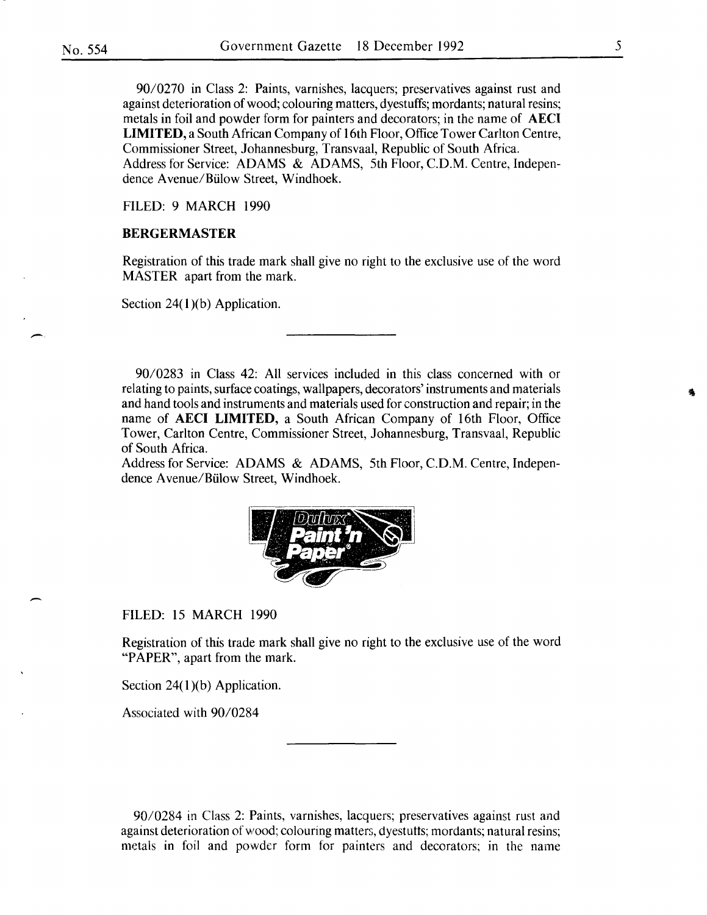90/0270 in Class 2: Paints, varnishes, lacquers; preservatives against rust and against deterioration of wood; colouring matters, dyestuffs; mordants; natural resins; metals in foil and powder form for painters and decorators; in the name of AECI **LIMITED,** a South African Company of 16th Floor, Office Tower Carlton Centre, Commissioner Street, Johannesburg, Transvaal, Republic of South Africa. Address for Service: ADAMS & ADAMS, 5th Floor, C.D.M. Centre, Independence Avenue/Biilow Street, Windhoek.

FILED: 9 MARCH 1990

#### **BERGERMASTER**

Registration of this trade mark shall give no right to the exclusive use of the word MASTER apart from the mark.

Section  $24(1)(b)$  Application.

90/0283 in Class 42: All services included in this class concerned with or relating to paints, surface coatings, wallpapers, decorators' instruments and materials and hand tools and instruments and materials used for construction and repair; in the name of AECI **LIMITED,** a South African Company of 16th Floor, Office Tower, Carlton Centre, Commissioner Street, Johannesburg, Transvaal, Republic of South Africa.

Address for Service: ADAMS & ADAMS, 5th Floor, C.D.M. Centre, Independence A venue/Biilow Street, Windhoek.



FILED: 15 MARCH 1990

Registration of this trade mark shall give no right to the exclusive use of the word "PAPER", apart from the mark.

Section  $24(1)(b)$  Application.

Associated with 90/0284

90/0284 in Class 2: Paints, varnishes, lacquers; preservatives against rust and against deterioration of vvood; colouring matters, dyestutts; mordants; natural resins; metals in foil and powder form for painters and decorators; in the name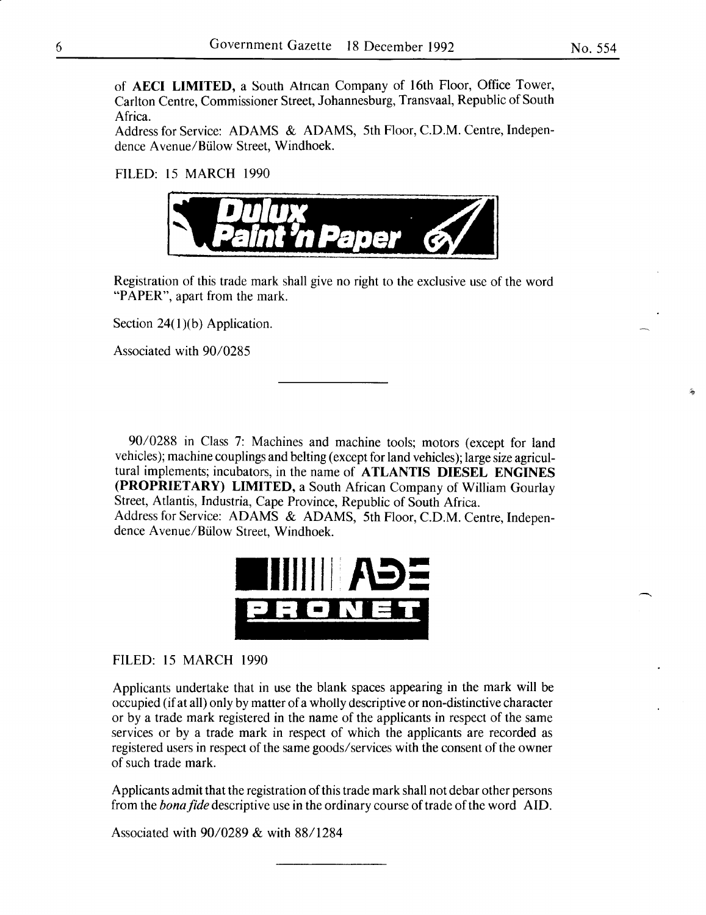of AECI LIMITED, a South Atncan Company of 16th Floor, Office Tower, Carlton Centre, Commissioner Street, Johannesburg, Transvaal, Republic of South Africa.

Address for Service: ADAMS & ADAMS, 5th Floor, C.D.M. Centre, Independence A venue/Biilow Street, Windhoek.

FILED: 15 MARCH 1990



Registration of this trade mark shall give no right to the exclusive use of the word "PAPER", apart from the mark.

Section  $24(1)(b)$  Application.

Associated with 90/0285

90/0288 in Class 7: Machines and machine tools; motors (except for land vehicles); machine couplings and belting (except for land vehicles); large size agricultural implements; incubators, in the name of ATLANTIS DIESEL ENGINES (PROPRIETARY) LIMITED, a South African Company of William Gourlay Street, Atlantis, Industria, Cape Province, Republic of South Africa. Address for Service: ADAMS & ADAMS, 5th Floor, C.D.M. Centre, Indepen-

dence Avenue/Biilow Street, Windhoek.



FILED: 15 MARCH 1990

Applicants undertake that in use the blank spaces appearing in the mark will be occupied (if at all) only by matter of a wholly descriptive or non-distinctive character or by a trade mark registered in the name of the applicants in respect of the same services or by a trade mark in respect of which the applicants are recorded as registered users in respect of the same goods/services with the consent of the owner of such trade mark.

Applicants admit that the registration of this trade mark shall not debar other persons from the *bona fide* descriptive use in the ordinary course of trade of the word AID.

Associated with 90/0289 & with 88/1284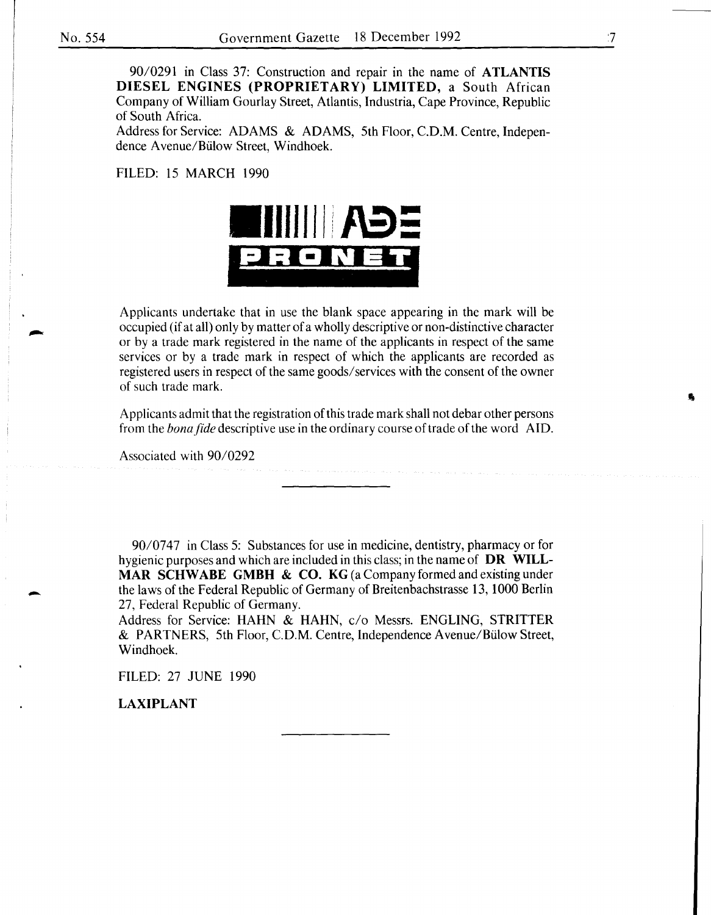90/0291 in Class 37: Construction and repair in the name of **ATLANTIS DIESEL ENGINES (PROPRIETARY) LIMITED,** a South African Company of William Gourlay Street, Atlantis, Industria, Cape Province, Republic of South Africa.

Address for Service: ADAMS & ADAMS, 5th Floor, C.D.M. Centre, Independence A venue/Biilow Street, Windhoek.

FILED: 15 MARCH 1990



Applicants undertake that in use the blank space appearing in the mark will be occupied (if at all) only by matter of a wholly descriptive or non-distinctive character or by a trade mark registered in the name of the applicants in respect of the same services or by a trade mark in respect of which the applicants are recorded as registered users in respect of the same goods/ services with the consent of the owner of such trade mark.

Applicants admit that the registration of this trade mark shall not debar other persons from the *bona fide* descriptive use in the ordinary course of trade of the word AID.

Associated with 90/0292

90/0747 in Class 5: Substances for use in medicine, dentistry, pharmacy or for hygienic purposes and which are included in this class; in the name of **DR WILL-MAR SCHWABE GMBH & CO. KG** (a Company formed and existing under the laws of the Federal Republic of Germany of Breitenbachstrasse 13, 1000 Berlin 27, Federal Republic of Germany.

Address for Service: HAHN & HAHN, c/o Messrs. ENGLING, STRITTER & PARTNERS, 5th Floor, C.D.M. Centre, Independence Avenue/Biilow Street, Windhoek.

FILED: 27 JUNE 1990

**LAXIPLANT** 

-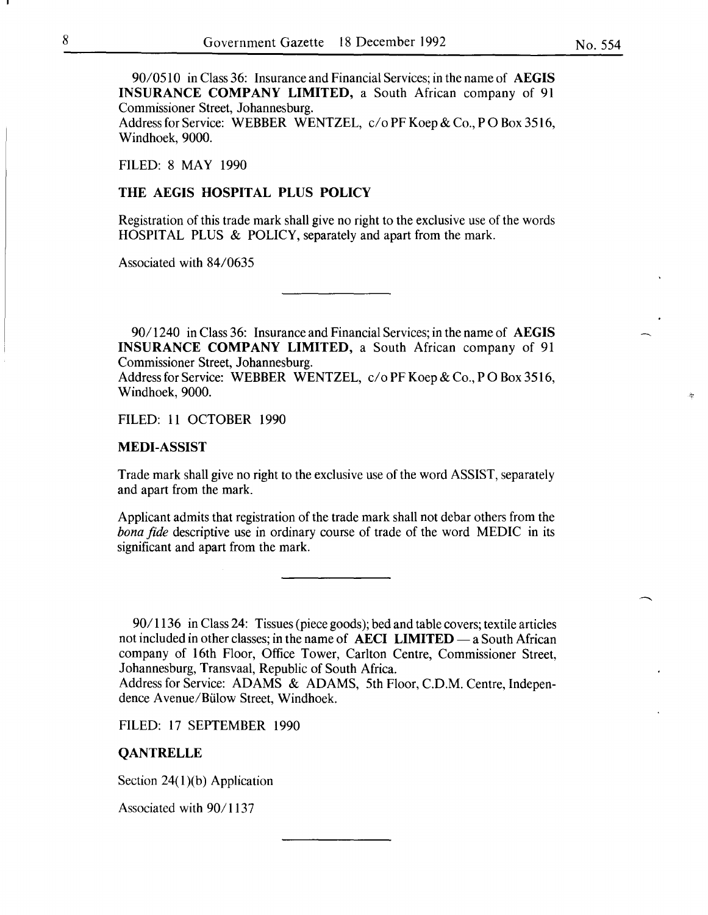90/0510 in Class 36: Insurance and Financial Services; in the name of AEGIS INSURANCE COMPANY LIMITED, a South African company of 91 Commissioner Street, Johannesburg.

Address for Service: WEBBER WENTZEL, c/o PF Koep & Co., PO Box 3516, Windhoek, 9000.

FILED: 8 MAY 1990

#### THE AEGIS HOSPITAL PLUS POLICY

Registration of this trade mark shall give no right to the exclusive use of the words HOSPITAL PLUS & POLICY, separately and apart from the mark.

Associated with 84/0635

90/1240 in Class 36: Insurance and Financial Services; in the name of AEGIS INSURANCE COMPANY LIMITED, a South African company of 91 Commissioner Street, Johannesburg.

Address for Service: WEBBER WENTZEL, c/o PF Koep & Co., PO Box 3516, Windhoek, 9000.

FILED: 11 OCTOBER 1990

#### MEDI-ASSIST

Trade mark shall give no right to the exclusive use of the word ASSIST, separately and apart from the mark.

Applicant admits that registration of the trade mark shall not debar others from the *bona fide* descriptive use in ordinary course of trade of the word MEDIC in its significant and apart from the mark.

*901* 1136 in Class 24: Tissues (piece goods); bed and table covers; textile articles not included in other classes; in the name of **AECI LIMITED**  $-$  a South African company of 16th Floor, Office Tower, Carlton Centre, Commissioner Street, Johannesburg, Transvaal, Republic of South Africa.

Address for Service: ADAMS & ADAMS, 5th Floor, C.D.M. Centre, Independence A venue/Biilow Street, Windhoek.

FILED: 17 SEPTEMBER 1990

#### **QANTRELLE**

Section  $24(1)(b)$  Application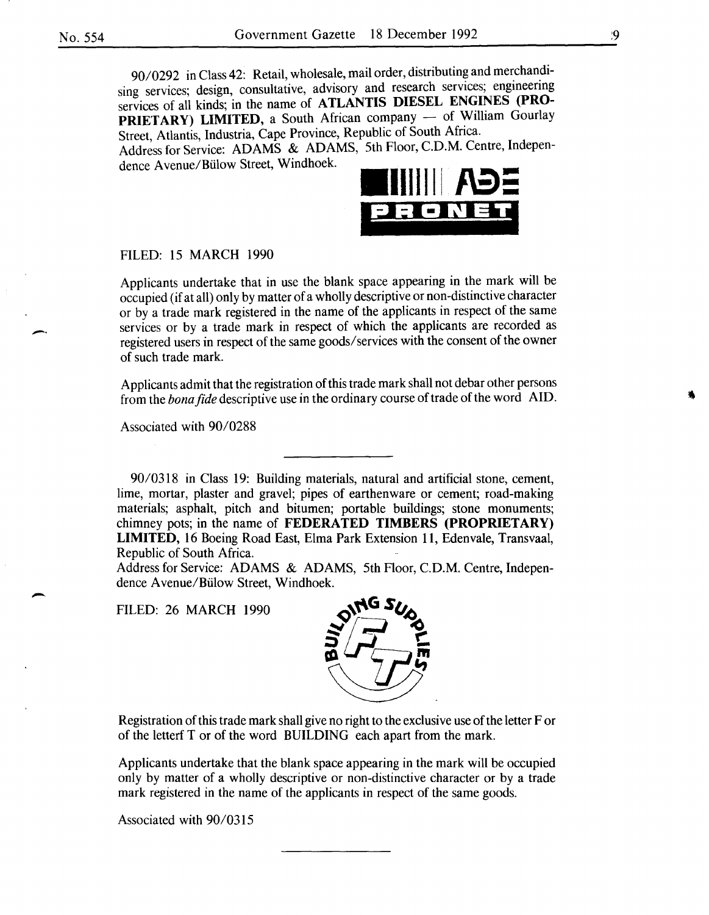90/0292 in Class 42: Retail, wholesale, mail order, distributing and merchandising services; design, consultative, advisory and research services; engineering services of all kinds; in the name of **ATLANTIS DIESEL ENGINES (PRO-**PRIETARY) LIMITED, a South African company - of William Gourlay Street, Atlantis, Industria, Cape Province, Republic of South Africa. Address for Service: ADAMS & ADAMS, 5th Floor, C.D.M. Centre, Indepen-

dence A venue/Biilow Street, Windhoek.



FILED: 15 MARCH 1990

Applicants undertake that in use the blank space appearing in the mark will be occupied (if at all) only by matter of a wholly descriptive or non-distinctive character or by a trade mark registered in the name of the applicants in respect of the same services or by a trade mark in respect of which the applicants are recorded as registered users in respect of the same goods/ services with the consent of the owner of such trade mark.

Applicants admit that the registration of this trade mark shall not debar other persons from the *bona fide* descriptive use in the ordinary course of trade of the word AID.

Associated with 90/0288

90/0318 in Class 19: Building materials, natural and artificial stone, cement, lime, mortar, plaster and gravel; pipes of earthenware or cement; road-making materials; asphalt, pitch and bitumen; portable buildings; stone monuments; chimney pots; in the name of **FEDERATED TIMBERS (PROPRIETARY) LIMITED,** 16 Boeing Road East, Elma Park Extension 11, Edenvale, Transvaal, Republic of South Africa.

Address for Service: ADAMS & ADAMS, 5th Floor, C.D.M. Centre, Independence A venue/Biilow Street, Windhoek.

FILED: 26 MARCH 1990



Registration of this trade mark shall give no right to the exclusive use of the letter For of the letterf Tor of the word BUILDING each apart from the mark.

Applicants undertake that the blank space appearing in the mark will be occupied only by matter of a wholly descriptive or non-distinctive character or by a trade mark registered in the name of the applicants in respect of the same goods.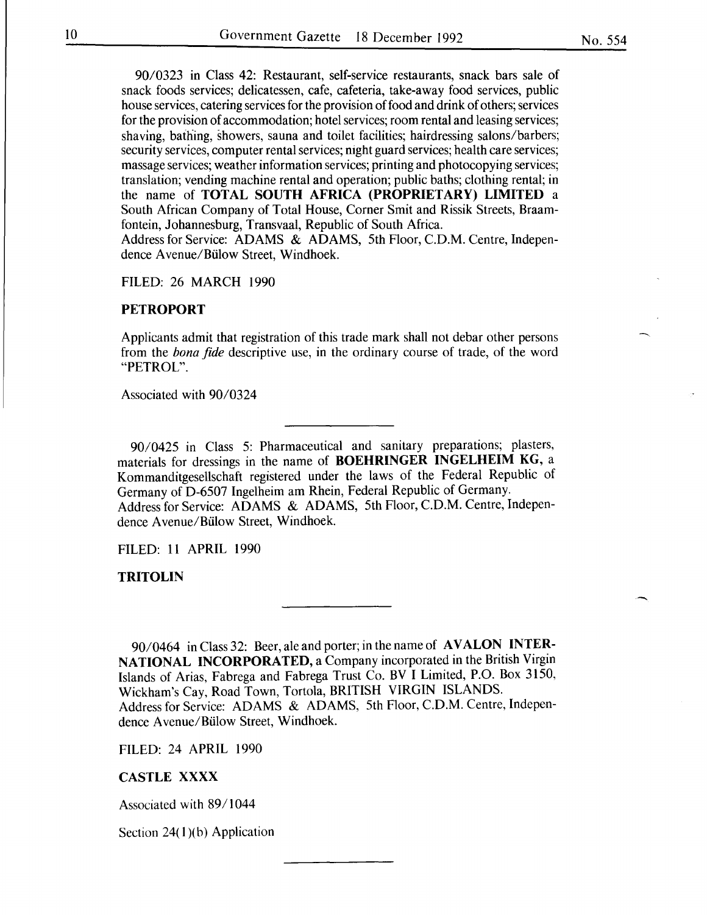90/0323 in Class 42: Restaurant, self-service restaurants, snack bars sale of snack foods services; delicatessen, cafe, cafeteria, take-away food services, public house services, catering services for the provision of food and drink of others; services for the provision of accommodation; hotel services; room rental and leasing services; shaving, bathing, showers, sauna and toilet facilities; hairdressing salons/barbers; security services, computer rental services; night guard services; health care services; massage services; weather information services; printing and photocopying services; translation; vending machine rental and operation; public baths; clothing rental; in the name of TOTAL SOUTH AFRICA (PROPRIETARY) LIMITED a South African Company of Total House, Corner Smit and Rissik Streets, Braamfontein, Johannesburg, Transvaal, Republic of South Africa. Address for Service: ADAMS & ADAMS, 5th Floor, C.D.M. Centre, Indepen-

dence A venue/Biilow Street, Windhoek.

FILED: 26 MARCH 1990

#### **PETROPORT**

Applicants admit that registration of this trade mark shall not debar other persons from the *bona fide* descriptive use, in the ordinary course of trade, of the word "PETROL".

Associated with 90/0324

90/0425 in Class 5: Pharmaceutical and sanitary preparations; plasters, materials for dressings in the name of BOEHRINGER INGELHEIM KG, a Kommanditgesellschaft registered under the laws of the Federal Republic of Germany of D-6507 Ingelheim am Rhein, Federal Republic of Germany. Address for Service: ADAMS & ADAMS, 5th Floor, C.D.M. Centre, Independence Avenue/Bülow Street, Windhoek.

FILED: 11 APRIL 1990

TRITOLIN

90/0464 in Class 32: Beer, ale and porter; in the name of AVALON INTER-NATIONAL INCORPORATED, a Company incorporated in the British Virgin Islands of Arias, Fabrega and Fabrega Trust Co. BV I Limited, P.O. Box 3150, Wickham's Cay, Road Town, Tortola, BRITISH VIRGIN ISLANDS. Address for Service: ADAMS & ADAMS, 5th Floor, C.D.M. Centre, Independence Avenue/Biilow Street, Windhoek.

FILED: 24 APRIL 1990

#### CASTLE XXXX

Associated with 89/1044

Section  $24(1)(b)$  Application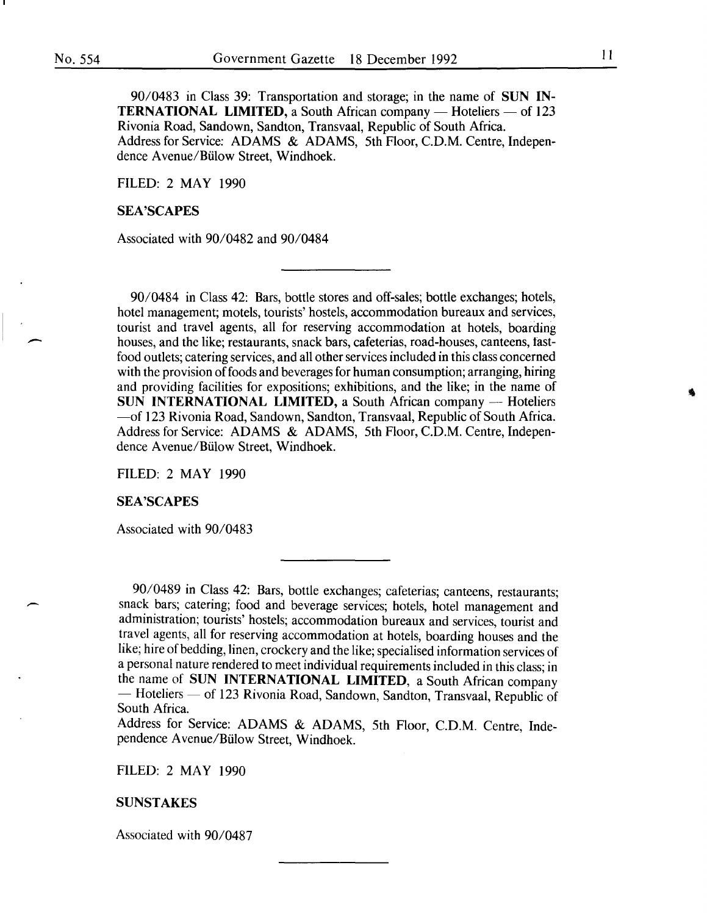90/0483 in Class 39: Transportation and storage; in the name of SUN IN-**TERNATIONAL LIMITED, a South African company — Hoteliers — of 123** Rivonia Road, Sandown, Sandton, Transvaal, Republic of South Africa. Address for Service: ADAMS & ADAMS, 5th Floor, C.D.M. Centre, Independence A venue/Biilow Street, Windhoek.

FILED: 2 MAY 1990

#### SEA'SCAPES

Associated with 90/0482 and 90/0484

90/0484 in Class 42: Bars, bottle stores and off-sales; bottle exchanges; hotels, hotel management; motels, tourists' hostels, accommodation bureaux and services, tourist and travel agents, all for reserving accommodation at hotels, boarding houses, and the like; restaurants, snack bars, cafeterias, road-houses, canteens, fastfood outlets; catering services, and all other services included in this class concerned with the provision of foods and beverages for human consumption; arranging, hiring and providing facilities for expositions; exhibitions, and the like; in the name of SUN INTERNATIONAL LIMITED, a South African company -- Hoteliers -of 123 Rivonia Road, Sandown, Sandton, Transvaal, Republic of South Africa. Address for Service: ADAMS & ADAMS, 5th Floor, C.D.M. Centre, Independence A venue/Biilow Street, Windhoek.

FILED: 2 MAY 1990

#### SEA'SCAPES

Associated with 90/0483

90/0489 in Class 42: Bars, bottle exchanges; cafeterias; canteens, restaurants; snack bars; catering; food and beverage services; hotels, hotel management and administration; tourists' hostels; accommodation bureaux and services, tourist and travel agents, all for reserving accommodation at hotels, boarding houses and the like; hire of bedding, linen, crockery and the like; specialised information services of a personal nature rendered to meet individual requirements included in this class; in the name of SUN INTERNATIONAL LIMITED, a South African company -Hoteliers - of 123 Rivonia Road, Sandown, Sandton, Transvaal, Republic of South Africa.

Address for Service: ADAMS & ADAMS, 5th Floor, C.D.M. Centre, Independence A venue/Biilow Street, Windhoek.

FILED: 2 MAY 1990

#### **SUNSTAKES**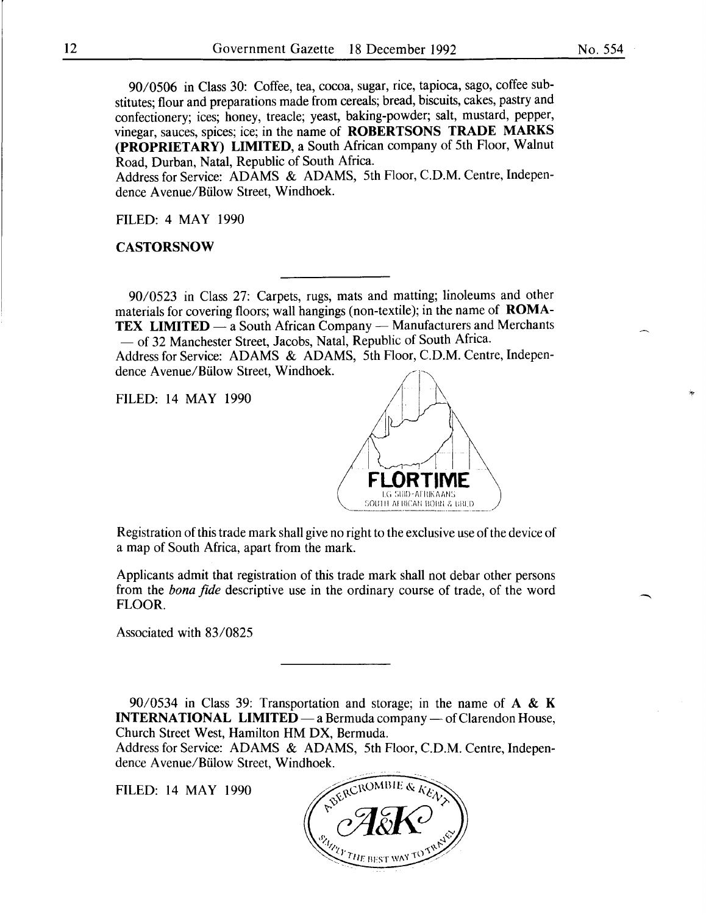90/0506 in Class 30: Coffee, tea, cocoa, sugar, rice, tapioca, sago, coffee substitutes; flour and preparations made from cereals; bread, biscuits, cakes, pastry and confectionery; ices; honey, treacle; yeast, baking-powder; salt, mustard, pepper, vinegar, sauces, spices; ice; in the name of ROBERTSONS TRADE MARKS (PROPRIETARY) LIMITED, a South African company of 5th Floor, Walnut Road, Durban, Natal, Republic of South Africa.

Address for Service: ADAMS & ADAMS, 5th Floor, C.D.M. Centre, Independence A venue/Biilow Street, Windhoek.

FILED: 4 MAY 1990

**CASTORSNOW** 

90/0523 in Class 27: Carpets, rugs, mats and matting; linoleums and other materials for covering floors; wall hangings (non-textile); in the name of ROMA-**TEX LIMITED**  $-$  a South African Company  $-$  Manufacturers and Merchants - of 32 Manchester Street, Jacobs, Natal, Republic of South Africa.

Address for Service: ADAMS & ADAMS, 5th Floor, C.D.M. Centre, Independence A venue/Biilow Street, Windhoek.



Registration of this trade mark shall give no right to the exclusive use of the device of a map of South Africa, apart from the mark.

Applicants admit that registration of this trade mark shall not debar other persons from the *bona fide* descriptive use in the ordinary course of trade, of the word FLOOR.

Associated with 83/0825

90/0534 in Class 39: Transportation and storage; in the name of  $A \& K$ INTERNATIONAL LIMITED — a Bermuda company — of Clarendon House, Church Street West, Hamilton HM DX, Bermuda.

Address for Service: ADAMS & ADAMS, 5th Floor, C.D.M. Centre, Independence A venue/Biilow Street, Windhoek.

FILED: 14 MAY 1990

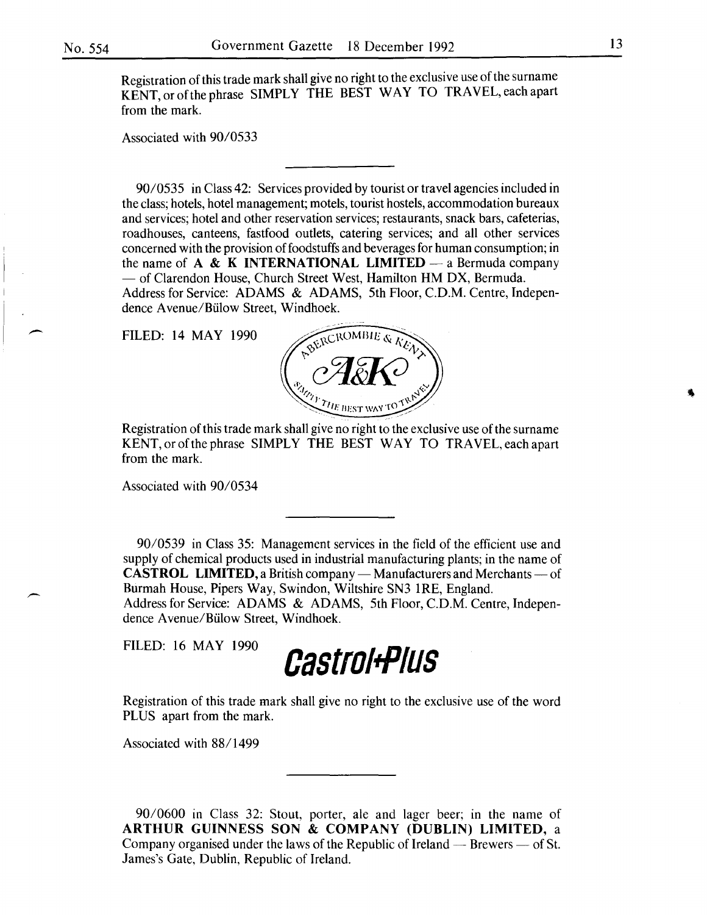$\overline{\phantom{0}}$ 

Registration of this trade mark shall give no right to the exclusive use of the surname KENT,orofthephrase SIMPLY THE BEST WAY TO TRAVEL,eachapart from the mark.

Associated with 90/0533

90/0535 in Class 42: Services provided by tourist or travel agencies included in the class; hotels, hotel management; motels, tourist hostels, accommodation bureaux and services; hotel and other reservation services; restaurants, snack bars, cafeterias, roadhouses, canteens, fastfood outlets, catering services; and all other services concerned with the provision of foodstuffs and beverages for human consumption; in the name of  $A \& K$  INTERNATIONAL LIMITED — a Bermuda company  $-$  of Clarendon House, Church Street West, Hamilton HM DX, Bermuda. Address for Service: ADAMS & ADAMS, 5th Floor, C.D.M. Centre, Independence A venue/Biilow Street, Windhoek.

FILED: 14 MAY 1990



Registration of this trade mark shall give no right to the exclusive use of the surname KENT, or of the phrase SIMPLY THE BEST WAY TO TRAVEL, each apart from the mark.

Associated with 90/0534

90/0539 in Class 35: Management services in the field of the efficient use and supply of chemical products used in industrial manufacturing plants; in the name of CASTROL LIMITED, a British company — Manufacturers and Merchants — of Burmah House, Pipers Way, Swindon, Wiltshire SN3 IRE, England.

Address for Service: ADAMS & ADAMS, 5th Floor, C.D.M. Centre, Independence A venue/Biilow Street, Windhoek.



Registration of this trade mark shall give no right to the exclusive use of the word PLUS apart from the mark.

Associated with 88/1499

90/0600 in Class 32: Stout, porter, ale and lager beer; in the name of ARTHUR GUINNESS SON & COMPANY (DUBLIN) LIMITED, a Company organised under the laws of the Republic of Ireland  $-$  Brewers  $-$  of St. James's Gate, Dublin, Republic of Ireland.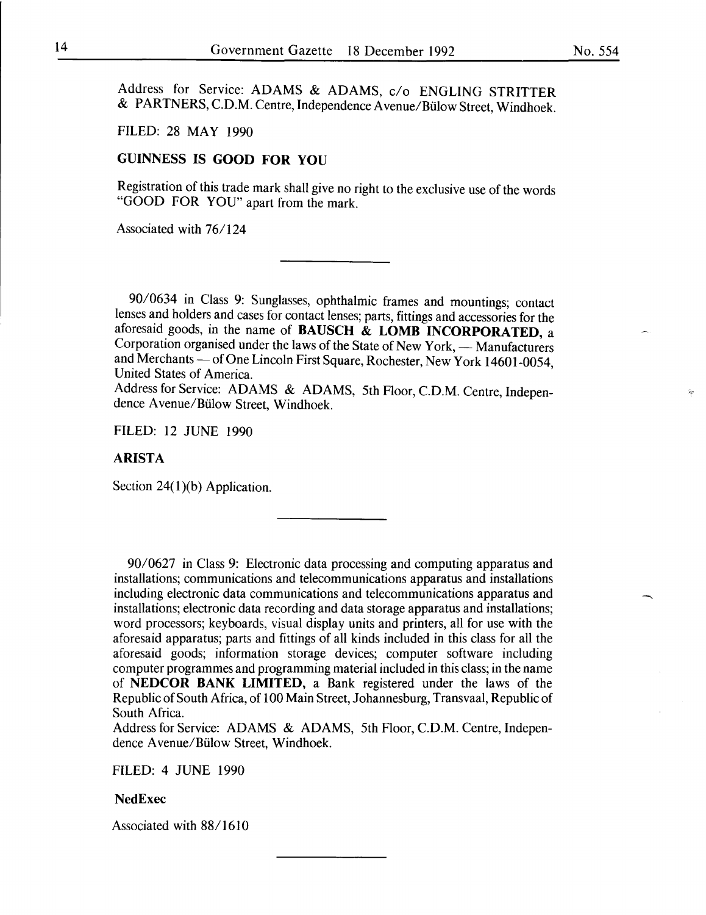Address for Service: ADAMS & ADAMS, c/o ENGLING STRITTER & PARTNERS, C.D.M. Centre, Independence Avenue/Biilow Street, Windhoek.

FILED: 28 MAY 1990

# GUINNESS IS GOOD FOR YOU

Registration of this trade mark shall give no right to the exclusive use of the words "GOOD FOR YOU" apart from the mark.

Associated with 76/124

90/0634 in Class 9: Sunglasses, ophthalmic frames and mountings; contact lenses and holders and cases for contact lenses; parts, fittings and accessories for the aforesaid goods, in the name of **BAUSCH**  $\&$  **LOMB** INCORPORATED, a Corporation organised under the laws of the State of New York, - Manufacturers and Merchants — of One Lincoln First Square, Rochester, New York 14601-0054, United States of America.

Address for Service: ADAMS & ADAMS, 5th Floor, C.D.M. Centre, Independence A venue/Biilow Street, Windhoek.

FILED: 12 JUNE 1990

#### ARISTA

Section  $24(1)(b)$  Application.

90/0627 in Class 9: Electronic data processing and computing apparatus and installations; communications and telecommunications apparatus and installations including electronic data communications and telecommunications apparatus and installations; electronic data recording and data storage apparatus and installations; word processors; keyboards, visual display units and printers, all for use with the aforesaid apparatus; parts and fittings of all kinds included in this class for all the aforesaid goods; information storage devices; computer software including computer programmes and programming material included in this class; in the name of NEDCOR BANK LIMITED, a Bank registered under the laws of the Republic of South Africa, of 100 Main Street, Johannesburg, Transvaal, Republic of South Africa.

Address for Service: ADAMS & ADAMS, 5th Floor, C.D.M. Centre, Independence A venue/Biilow Street, Windhoek.

FILED: 4 JUNE 1990

#### NedExec

Associated with 88/1610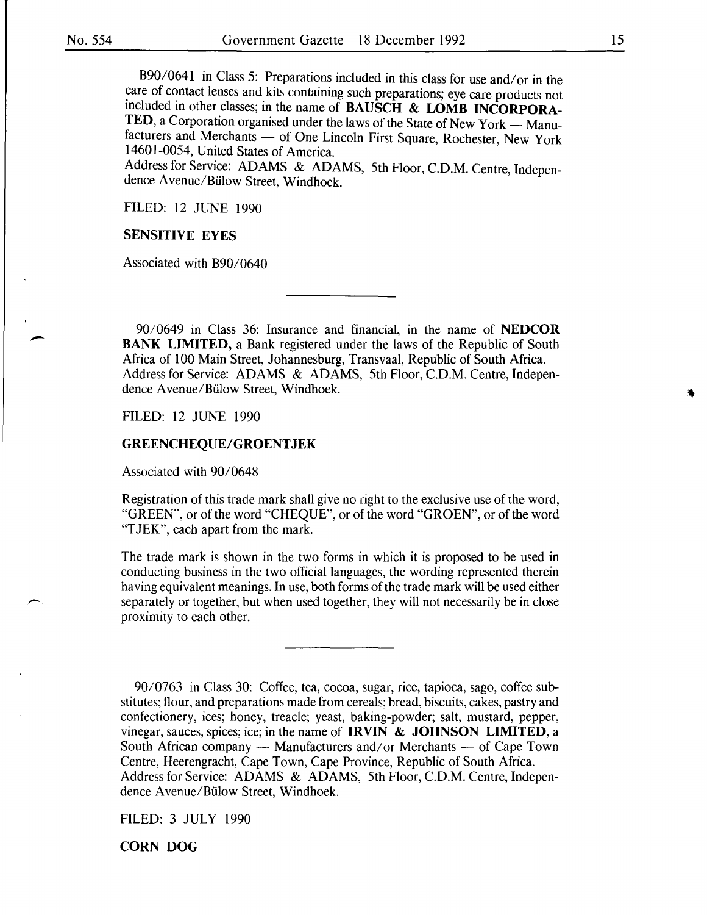-

B90/0641 in Class 5: Preparations included in this class for use and/ or in the care of contact lenses and kits containing such preparations; eye care products not included in other classes; in the name of **BAUSCH & LOMB INCORPORA-**TED, a Corporation organised under the laws of the State of New York — Manufacturers and Merchants — of One Lincoln First Square, Rochester, New York 14601-0054, United States of America.

Address for Service: ADAMS & ADAMS, 5th Floor, C.D.M. Centre, Independence A venue/Biilow Street, Windhoek.

FILED: 12 JUNE 1990

#### SENSITIVE EYES

Associated with B90/0640

90/0649 in Class 36: Insurance and financial, in the name of NEDCOR BANK LIMITED, a Bank registered under the laws of the Republic of South Africa of 100 Main Street, Johannesburg, Transvaal, Republic of South Africa. Address for Service: ADAMS & ADAMS, 5th Floor, C.D.M. Centre, Independence A venue/Biilow Street, Windhoek.

FILED: 12 JUNE 1990

#### GREENCHEQUE/GROENTJEK

Associated with 90/0648

Registration of this trade mark shall give no right to the exclusive use of the word, "GREEN", or of the word "CHEQUE", or of the word "GROEN", or of the word "TJEK", each apart from the mark.

The trade mark is shown in the two forms in which it is proposed to be used in conducting business in the two official languages, the wording represented therein having equivalent meanings. In use, both forms of the trade mark will be used either separately or together, but when used together, they will not necessarily be in close proximity to each other.

90/0763 in Class 30: Coffee, tea, cocoa, sugar, rice, tapioca, sago, coffee substitutes; flour, and preparations made from cereals; bread, biscuits, cakes, pastry and confectionery, ices; honey, treacle; yeast, baking-powder; salt, mustard, pepper, vinegar, sauces, spices; ice; in the name of IRVIN  $\&$  JOHNSON LIMITED, a South African company - Manufacturers and/or Merchants - of Cape Town Centre, Heerengracht, Cape Town, Cape Province, Republic of South Africa. Address for Service: ADAMS & ADAMS, 5th Floor, C.D.M. Centre, Independence A venue/Biilow Street, Windhoek.

FILED: 3 JULY 1990

CORN DOG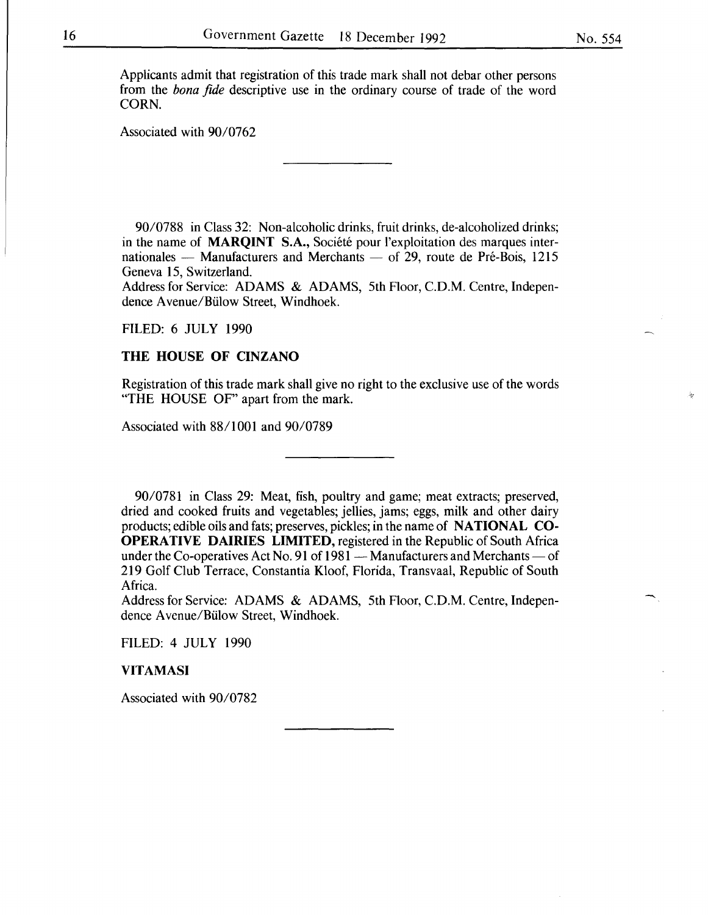Applicants admit that registration of this trade mark shall not debar other persons from the *bona fide* descriptive use in the ordinary course of trade of the word CORN.

Associated with 90/0762

90/0788 in Class 32: Non-alcoholic drinks, fruit drinks, de-alcoholized drinks; in the name of MARQINT S.A., Société pour l'exploitation des marques internationales  $-$  Manufacturers and Merchants  $-$  of 29, route de Pré-Bois, 1215 Geneva 15, Switzerland.

Address for Service: ADAMS & ADAMS, 5th Floor, C.D.M. Centre, Independence A venue/Biilow Street, Windhoek.

#### FILED: 6 JULY 1990

#### THE HOUSE OF CINZANO

Registration of this trade mark shall give no right to the exclusive use of the words "THE HOUSE OF" apart from the mark.

Associated with 88/1001 and 90/0789

90/0781 in Class 29: Meat, fish, poultry and game; meat extracts; preserved, dried and cooked fruits and vegetables; jellies, jams; eggs, milk and other dairy products; edible oils and fats; preserves, pickles; in the name of NATIONAL CO-OPERATIVE DAIRIES LIMITED, registered in the Republic of South Africa under the Co-operatives Act No. 91 of  $1981 -$ Manufacturers and Merchants  $-$  of 219 Golf Club Terrace, Constantia Kloof, Florida, Transvaal, Republic of South Africa.

Address for Service: ADAMS & ADAMS, 5th Floor, C.D.M. Centre, Independence A venue/Biilow Street, Windhoek.

FILED: 4 JULY 1990

VITAMASI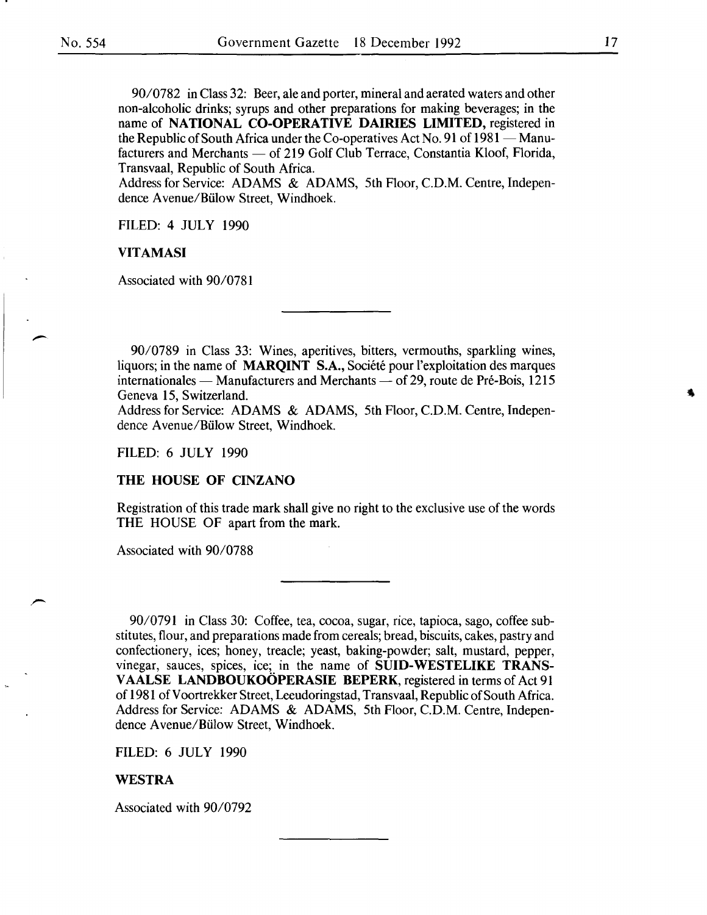90/0782 in Class 32: Beer, ale and porter, mineral and aerated waters and other non-alcoholic drinks; syrups and other preparations for making beverages; in the name of NATIONAL CO-OPERATIVE DAIRIES LIMITED, registered in the Republic of South Africa under the Co-operatives Act No. 91 of  $1981$  - Manufacturers and Merchants — of 219 Golf Club Terrace, Constantia Kloof, Florida, Transvaal, Republic of South Africa.

Address for Service: ADAMS & ADAMS, 5th Floor, C.D.M. Centre, Independence A venue/Biilow Street, Windhoek.

FILED: 4 JULY 1990

#### VITAMASI

Associated with 90/0781

90/0789 in Class 33: Wines, aperitives, bitters, vermouths, sparkling wines, liquors; in the name of **MARQINT** S.A., Société pour l'exploitation des marques internationales — Manufacturers and Merchants — of 29, route de Pré-Bois, 1215 Geneva 15, Switzerland.

Address for Service: ADAMS & ADAMS, 5th Floor, C.D.M. Centre, Independence Avenue/Biilow Street, Windhoek.

FILED: 6 JULY 1990

#### THE HOUSE OF CINZANO

Registration of this trade mark shall give no right to the exclusive use of the words THE HOUSE OF apart from the mark.

Associated with 90/0788

90/0791 in Class 30: Coffee, tea, cocoa, sugar, rice, tapioca, sago, coffee substitutes, flour, and preparations made from cereals; bread, biscuits, cakes, pastry and confectionery, ices; honey, treacle; yeast, baking-powder; salt, mustard, pepper, vinegar, sauces, spices, ice; in the name of SUID-WESTELIKE TRANS-VAALSE LANDBOUKOÖPERASIE BEPERK, registered in terms of Act 91 of 1981 of Voortrekker Street, Leeudoringstad, Transvaal, Republic of South Africa. Address for Service: ADAMS & ADAMS, 5th Floor, C.D.M. Centre, Independence A venue/Biilow Street, Windhoek.

FILED: 6 JULY 1990

#### WESTRA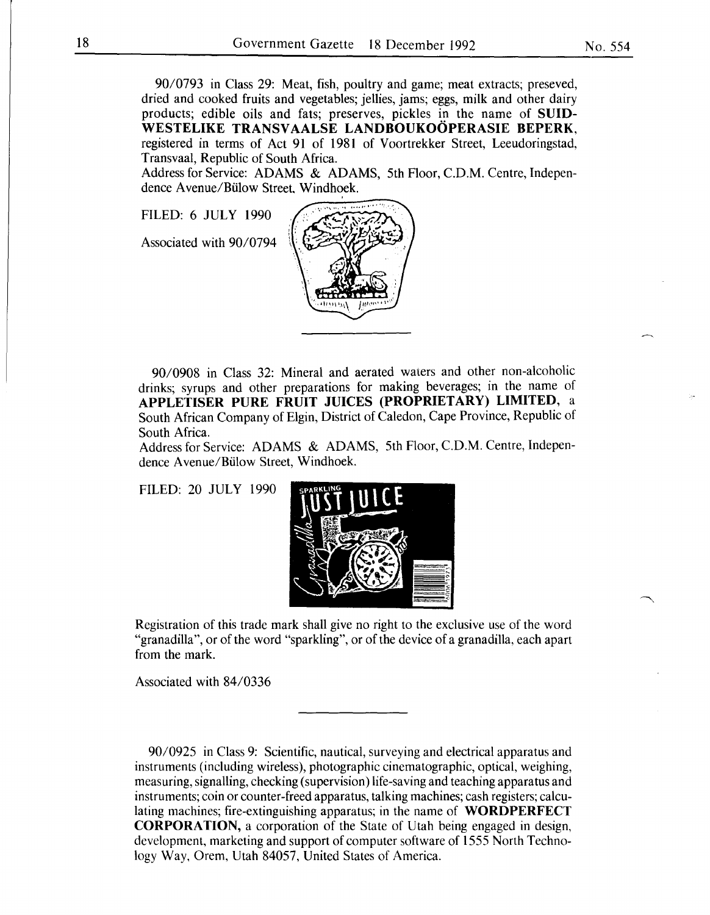90/0793 in Class 29: Meat, fish, poultry and game; meat extracts; preseved, dried and cooked fruits and vegetables; jellies, jams; eggs, milk and other dairy products; edible oils and fats; preserves, pickles in the name of **SUID-**WESTELIKE TRANSVAALSE LANDBOUKOÖPERASIE BEPERK, registered in terms of Act 91 of 1981 of Voortrekker Street, Leeudoringstad, Transvaal, Republic of South Africa.

Address for Service: ADAMS & ADAMS, 5th Floor, C.D.M. Centre, Independence A venue/Biilow Street. Windhoek.

FILED: 6 JULY 1990

Associated with 90/0794



90/0908 in Class 32: Mineral and aerated waters and other non-alcoholic drinks; syrups and other preparations for making beverages; in the name of **APPLETISER PURE FRUIT JUICES (PROPRIETARY) LIMITED,** a South African Company of Elgin, District of Caledon, Cape Province, Republic of South Africa.

Address for Service: ADAMS & ADAMS, 5th Floor, C.D.M. Centre, Independence A venue/Biilow Street, Windhoek.

FILED: 20 JULY 1990



Registration of this trade mark shall give no right to the exclusive use of the word "granadilla", or of the word "sparkling", or of the device of a granadilla, each apart from the mark.

Associated with 84/0336

90/0925 in Class 9: Scientific, nautical, surveying and electrical apparatus and instruments (including wireless), photographic cinematographic, optical, weighing, measuring, signalling, checking (supervision) life-saving and teaching apparatus and instruments; coin or counter-freed apparatus, talking machines; cash registers; calculating machines; fire-extinguishing apparatus; in the name of **WORDPERFECT CORPORATION,** a corporation of the State of Utah being engaged in design, development, marketing and support of computer software of 1555 North Technology Way, Orem, Utah 84057, United States of America.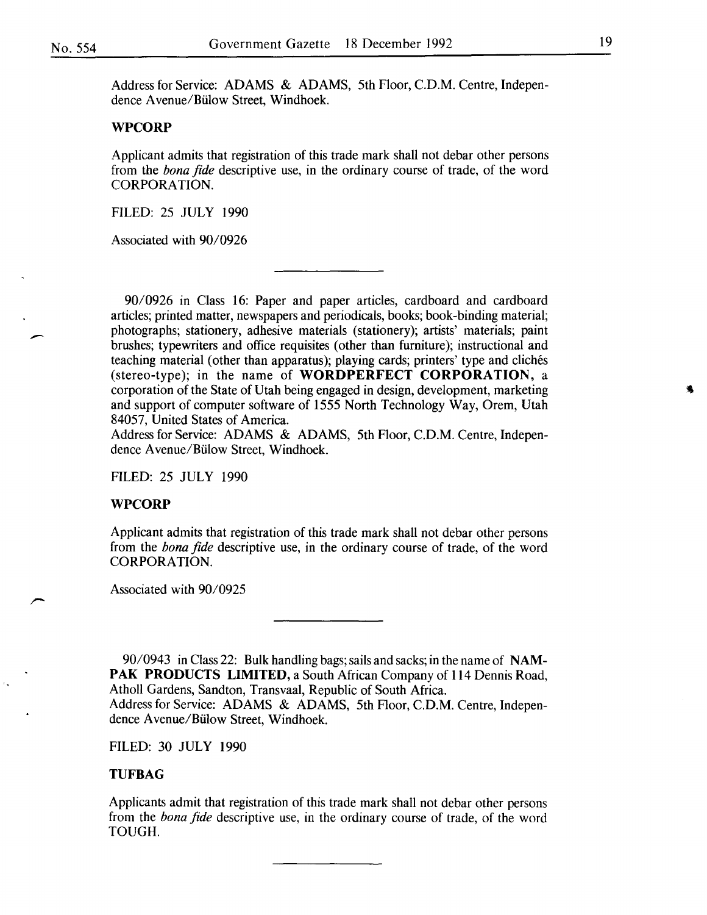Address for Service: ADAMS & ADAMS, 5th Floor, C.D.M. Centre, Independence A venue/Biilow Street, Windhoek.

#### WPCORP

Applicant admits that registration of this trade mark shall not debar other persons from the *bona fide* descriptive use, in the ordinary course of trade, of the word CORPORATION.

FILED: 25 JULY 1990

Associated with 90/0926

90/0926 in Class 16: Paper and paper articles, cardboard and cardboard articles; printed matter, newspapers and periodicals, books; book-binding material; photographs; stationery, adhesive materials (stationery); artists' materials; paint brushes; typewriters and office requisites (other than furniture); instructional and teaching material (other than apparatus); playing cards; printers' type and cliches (stereo-type); in the name of WORDPERFECT CORPORATION, a corporation of the State of Utah being engaged in design, development, marketing and support of computer software of 1555 North Technology Way, Orem, Utah 84057, United States of America.

Address for Service: ADAMS & ADAMS, 5th Floor, C.D.M. Centre, Independence A venue/Biilow Street, Windhoek.

FILED: 25 JULY 1990

#### WPCORP

Applicant admits that registration of this trade mark shall not debar other persons from the *bona fide* descriptive use, in the ordinary course of trade, of the word CORPORATION.

Associated with 90/0925

90/0943 in Class 22: Bulk handling bags; sails and sacks; in the name of NAM-PAK PRODUCTS LIMITED, a South African Company of 114 Dennis Road, Atholl Gardens, Sandton, Transvaal, Republic of South Africa. Address for Service: ADAMS & ADAMS, 5th Floor, C.D.M. Centre, Independence A venue/Biilow Street, Windhoek.

FILED: 30 JULY 1990

#### TUFBAG

Applicants admit that registration of this trade mark shall not debar other persons from the *bona fide* descriptive use, in the ordinary course of trade, of the word TOUGH.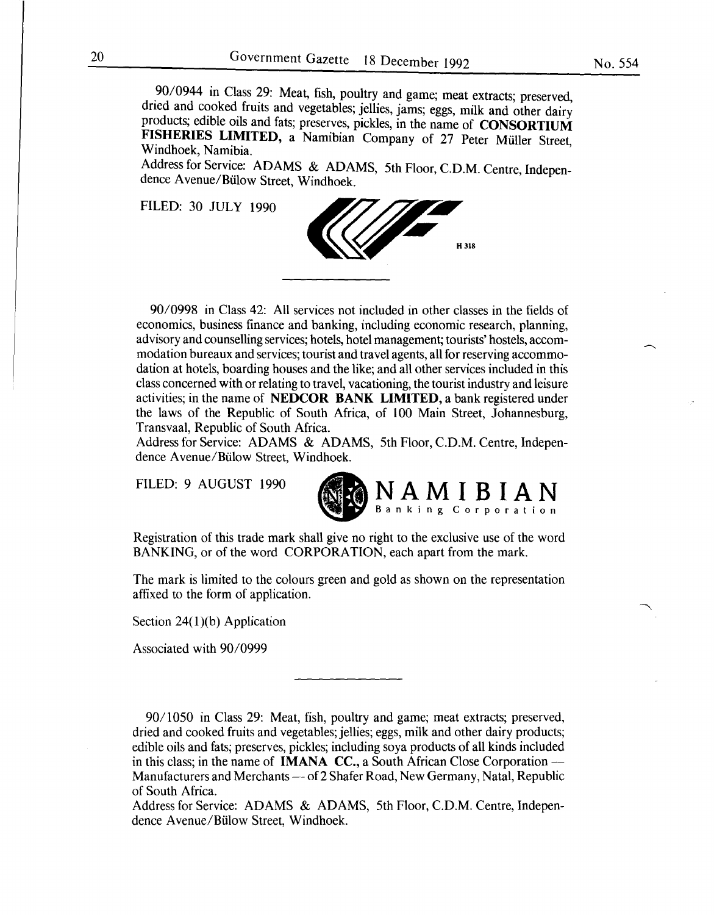\_90/0944 in Class 29: Meat, fish, poultry and game; meat extracts; preserved, dried and cooked fruits and vegetables; jellies, jams; eggs, milk and other dairy products; edible oils and fats; preserves, pickles, in the name of CONSORTIUM FISHERIES LIMITED, a Namibian Company of 27 Peter Müller Street, Windhoek Namibia. Windhoek, Namibia. '

Address for Service: ADAMS & ADAMS, 5th Floor, C.D.M. Centre, Independence Avenue/Bülow Street, Windhoek.

FILED: 30 JULY 1990



90/0998 in Class 42: All services not included in other classes in the fields of economics, business finance and banking, including economic research, planning, advisory and counselling services; hotels, hotel management; tourists' hostels, accommodation bureaux and services; tourist and travel agents, all for reserving accommodation at hotels, boarding houses and the like; and all other services included in this class concerned with or relating to travel, vacationing, the tourist industry and leisure activities; in the name of NEDCOR BANK LIMITED, a bank registered under the laws of the Republic of South Africa, of 100 Main Street, Johannesburg, Transvaal, Republic of South Africa.

Address for Service: ADAMS & ADAMS, 5th Floor, C.D.M. Centre, Independence Avenue/Bülow Street, Windhoek.

FILED: 9 AUGUST 1990



Registration of this trade mark shall give no right to the exclusive use of the word BANKING, or of the word CORPORATION, each apart from the mark.

The mark is limited to the colours green and gold as shown on the representation affixed to the form of application.

Section  $24(1)(b)$  Application

Associated with 90/0999

90/1050 in Class 29: Meat, fish, poultry and game; meat extracts; preserved, dried and cooked fruits and vegetables; jellies; eggs, milk and other dairy products; edible oils and fats; preserves, pickles; including soya products of all kinds included in this class; in the name of **IMANA CC.**, a South African Close Corporation --Manufacturers and Merchants - of 2 Shafer Road, New Germany, Natal, Republic of South Africa.

Address for Service: ADAMS & ADAMS, 5th Floor, C.D.M. Centre, Independence Avenue/Biilow Street, Windhoek.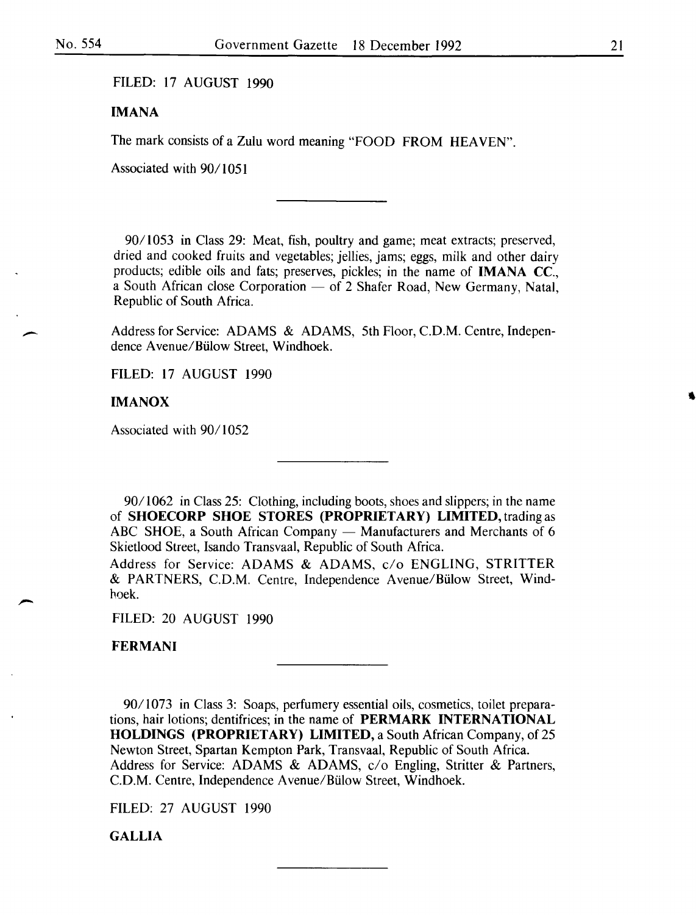#### FILED: 17 AUGUST 1990

## IMANA

The mark consists of a Zulu word meaning "FOOD FROM HEAVEN".

Associated with 90/1051

*901* 1053 in Class 29: Meat, fish, poultry and game; meat extracts; preserved, dried and cooked fruits and vegetables; jellies, jams; eggs, milk and other dairy products; edible oils and fats; preserves, pickles; in the name of IMANA CC., a South African close Corporation  $-$  of 2 Shafer Road, New Germany, Natal, Republic of South Africa.

Address for Service: ADAMS & ADAMS, 5th Floor, C.D.M. Centre, Independence A venue/Biilow Street, Windhoek.

FILED: 17 AUGUST 1990

#### IMANOX

Associated with 90/1052

*9011062* in Class 25: Clothing, including boots, shoes and slippers; in the name of SHOECORP SHOE STORES (PROPRIETARY) LIMITED, trading as ABC SHOE, a South African Company - Manufacturers and Merchants of 6 Skietlood Street, Isando Transvaal, Republic of South Africa.

Address for Service: ADAMS & ADAMS, c/o ENGLING, STRITTER & PARTNERS, C.D.M. Centre, Independence Avenue/Biilow Street, Windhoek.

FILED: 20 AUGUST 1990

**FERMANI** 

90/1073 in Class 3: Soaps, perfumery essential oils, cosmetics, toilet preparations, hair lotions; dentifrices; in the name of PERMARK INTERNATIONAL HOLDINGS (PROPRIETARY) LIMITED, a South African Company, of 25 Newton Street, Spartan Kempton Park, Transvaal, Republic of South Africa. Address for Service: ADAMS & ADAMS, c/o Engling, Stritter & Partners, C.D.M. Centre, Independence A venue/Biilow Street, Windhoek.

FILED: 27 AUGUST 1990

**GALLIA**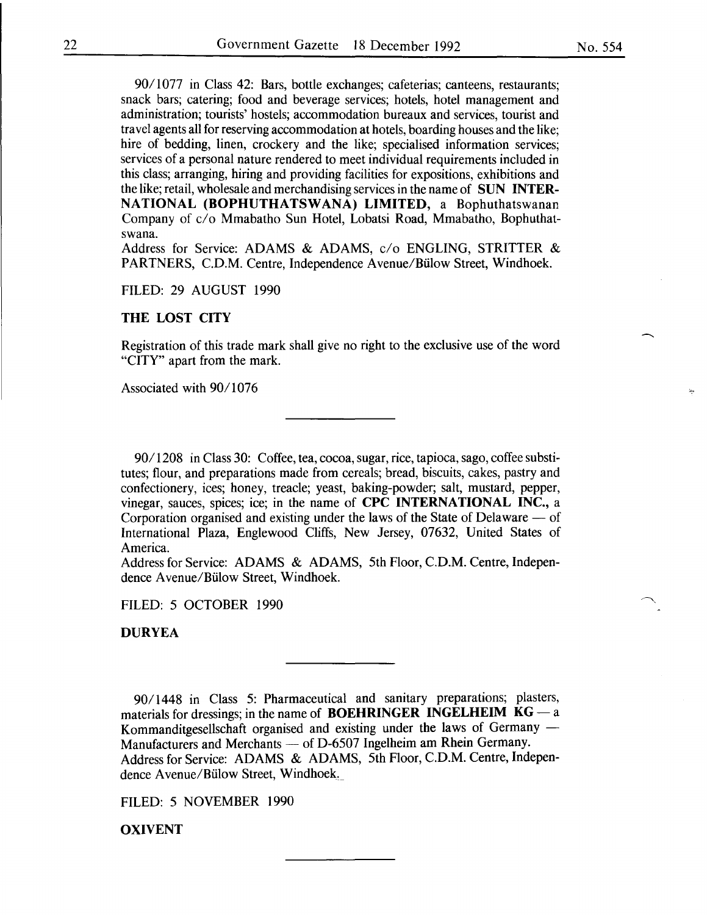90/1077 in Class 42: Bars, bottle exchanges; cafeterias; canteens, restaurants; snack bars; catering; food and beverage services; hotels, hotel management and administration; tourists' hostels; accommodation bureaux and services, tourist and travel agents all for reserving accommodation at hotels, boarding houses and the like; hire of bedding, linen, crockery and the like; specialised information services; services of a personal nature rendered to meet individual requirements included in this class; arranging, hiring and providing facilities for expositions, exhibitions and the like; retail, wholesale and merchandising services in the name of SUN INTER-NATIONAL (BOPHUTHATSWANA) LIMITED, a Bophuthatswanan Company of c/o Mmabatho Sun Hotel, Lobatsi Road, Mmabatho, Bophuthatswana.

Address for Service: ADAMS & ADAMS, c/o ENGLING, STRITTER & PARTNERS, C.D.M. Centre, Independence Avenue/Biilow Street, Windhoek.

FILED: 29 AUGUST 1990

#### THE LOST CITY

Registration of this trade mark shall give no right to the exclusive use of the word "CITY" apart from the mark.

Associated with 90/1076

90/1208 in Class 30: Coffee, tea, cocoa, sugar, rice, tapioca, sago, coffee substitutes; flour, and preparations made from cereals; bread, biscuits, cakes, pastry and confectionery, ices; honey, treacle; yeast, baking-powder; salt, mustard, pepper, vinegar, sauces, spices; ice; in the name of CPC INTERNATIONAL INC., a Corporation organised and existing under the laws of the State of Delaware  $-$  of International Plaza, Englewood Cliffs, New Jersey, 07632, United States of America.

Address for Service: ADAMS & ADAMS, 5th Floor, C.D.M. Centre, Independence A venue/Biilow Street, Windhoek.

FILED: 5 OCTOBER 1990

DURYEA

90/1448 in Class 5: Pharmaceutical and sanitary preparations; plasters, materials for dressings; in the name of **BOEHRINGER** INGELHEIM  $KG - a$ Kommanditgesellschaft organised and existing under the laws of Germany -Manufacturers and Merchants - of D-6507 Ingelheim am Rhein Germany. Address for Service: ADAMS & ADAMS, 5th Floor, C.D.M. Centre, Independence Avenue/Bülow Street, Windhoek.

FILED: 5 NOVEMBER 1990

OXIVENT